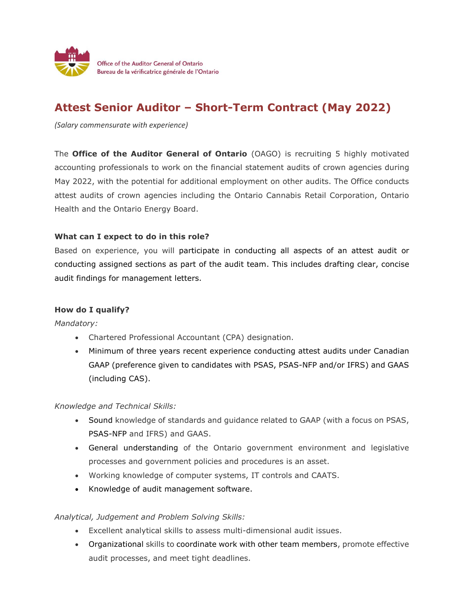

## **Attest Senior Auditor – Short-Term Contract (May 2022)**

*(Salary commensurate with experience)*

The **Office of the Auditor General of Ontario** (OAGO) is recruiting 5 highly motivated accounting professionals to work on the financial statement audits of crown agencies during May 2022, with the potential for additional employment on other audits. The Office conducts attest audits of crown agencies including the Ontario Cannabis Retail Corporation, Ontario Health and the Ontario Energy Board.

## **What can I expect to do in this role?**

Based on experience, you will participate in conducting all aspects of an attest audit or conducting assigned sections as part of the audit team. This includes drafting clear, concise audit findings for management letters.

## **How do I qualify?**

*Mandatory:*

- Chartered Professional Accountant (CPA) designation.
- Minimum of three years recent experience conducting attest audits under Canadian GAAP (preference given to candidates with PSAS, PSAS-NFP and/or IFRS) and GAAS (including CAS).

*Knowledge and Technical Skills:*

- Sound knowledge of standards and guidance related to GAAP (with a focus on PSAS, PSAS-NFP and IFRS) and GAAS.
- General understanding of the Ontario government environment and legislative processes and government policies and procedures is an asset.
- Working knowledge of computer systems, IT controls and CAATS.
- Knowledge of audit management software.

## *Analytical, Judgement and Problem Solving Skills:*

- Excellent analytical skills to assess multi-dimensional audit issues.
- Organizational skills to coordinate work with other team members, promote effective audit processes, and meet tight deadlines.